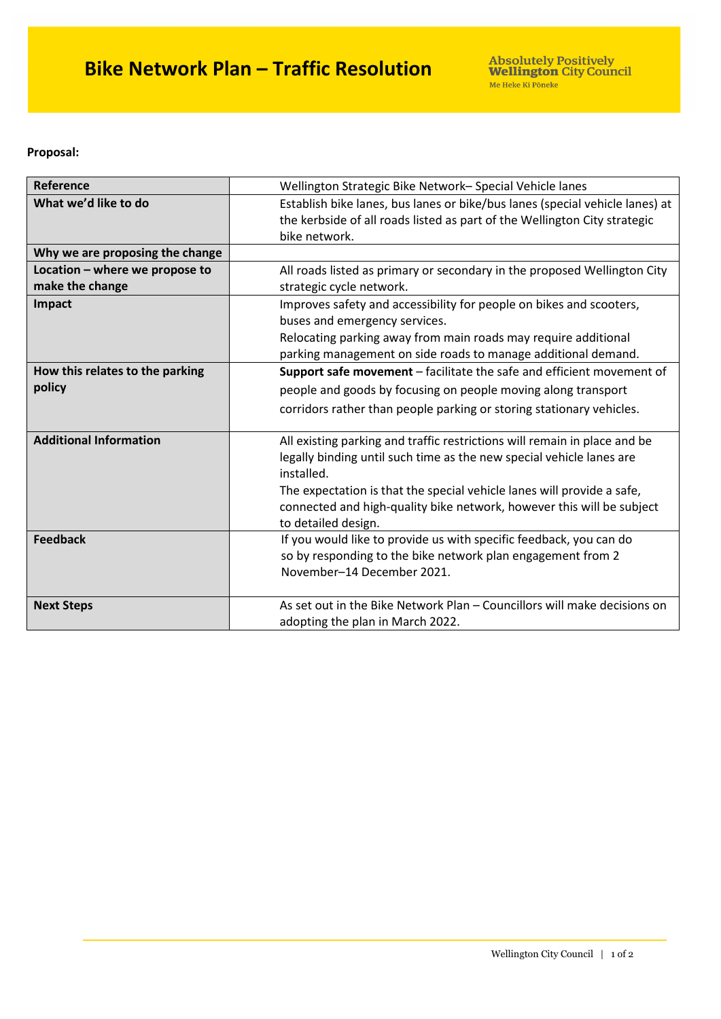**Proposal:**

| Reference                                         | Wellington Strategic Bike Network- Special Vehicle lanes                                                                                                                   |
|---------------------------------------------------|----------------------------------------------------------------------------------------------------------------------------------------------------------------------------|
| What we'd like to do                              | Establish bike lanes, bus lanes or bike/bus lanes (special vehicle lanes) at<br>the kerbside of all roads listed as part of the Wellington City strategic<br>bike network. |
| Why we are proposing the change                   |                                                                                                                                                                            |
| Location - where we propose to<br>make the change | All roads listed as primary or secondary in the proposed Wellington City<br>strategic cycle network.                                                                       |
| Impact                                            | Improves safety and accessibility for people on bikes and scooters,<br>buses and emergency services.                                                                       |
|                                                   | Relocating parking away from main roads may require additional<br>parking management on side roads to manage additional demand.                                            |
| How this relates to the parking                   | Support safe movement - facilitate the safe and efficient movement of                                                                                                      |
| policy                                            | people and goods by focusing on people moving along transport                                                                                                              |
|                                                   | corridors rather than people parking or storing stationary vehicles.                                                                                                       |
| <b>Additional Information</b>                     | All existing parking and traffic restrictions will remain in place and be<br>legally binding until such time as the new special vehicle lanes are<br>installed.            |
|                                                   | The expectation is that the special vehicle lanes will provide a safe,<br>connected and high-quality bike network, however this will be subject<br>to detailed design.     |
| <b>Feedback</b>                                   | If you would like to provide us with specific feedback, you can do<br>so by responding to the bike network plan engagement from 2<br>November-14 December 2021.            |
| <b>Next Steps</b>                                 | As set out in the Bike Network Plan – Councillors will make decisions on<br>adopting the plan in March 2022.                                                               |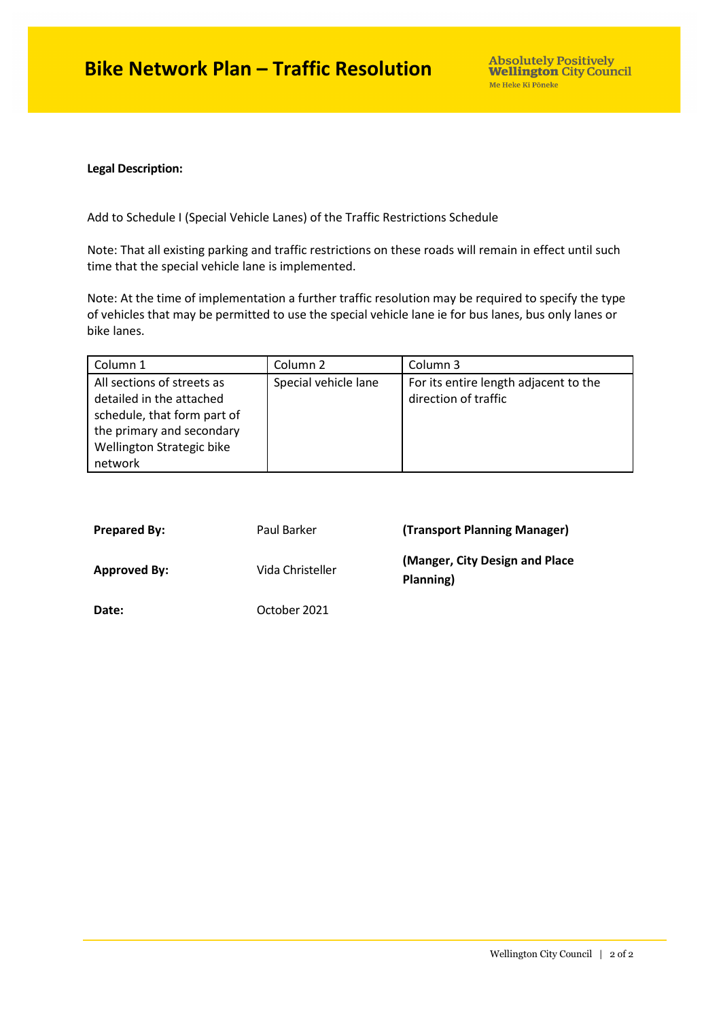## **Bike Network Plan – Traffic Resolution**

## **Legal Description:**

Add to Schedule I (Special Vehicle Lanes) of the Traffic Restrictions Schedule

Note: That all existing parking and traffic restrictions on these roads will remain in effect until such time that the special vehicle lane is implemented.

Note: At the time of implementation a further traffic resolution may be required to specify the type of vehicles that may be permitted to use the special vehicle lane ie for bus lanes, bus only lanes or bike lanes.

| Column 1                    | Column 2             | Column 3                              |
|-----------------------------|----------------------|---------------------------------------|
| All sections of streets as  | Special vehicle lane | For its entire length adjacent to the |
| detailed in the attached    |                      | direction of traffic                  |
| schedule, that form part of |                      |                                       |
| the primary and secondary   |                      |                                       |
| Wellington Strategic bike   |                      |                                       |
| network                     |                      |                                       |

| <b>Prepared By:</b> | Paul Barker      | (Transport Planning Manager)                 |
|---------------------|------------------|----------------------------------------------|
| <b>Approved By:</b> | Vida Christeller | (Manger, City Design and Place)<br>Planning) |
| Date:               | October 2021     |                                              |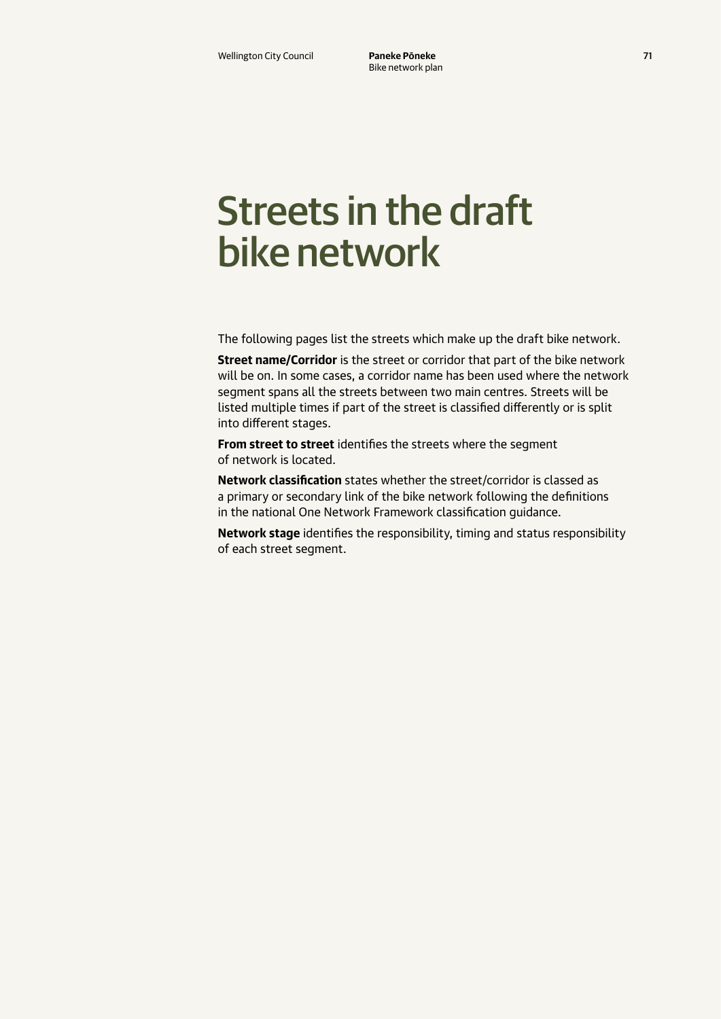## Streets in the draft bike network

The following pages list the streets which make up the draft bike network.

**Street name/Corridor** is the street or corridor that part of the bike network will be on. In some cases, a corridor name has been used where the network segment spans all the streets between two main centres. Streets will be listed multiple times if part of the street is classified differently or is split into different stages.

**From street to street** identifies the streets where the segment of network is located.

**Network classification** states whether the street/corridor is classed as a primary or secondary link of the bike network following the definitions in the national One Network Framework classification guidance.

**Network stage** identifies the responsibility, timing and status responsibility of each street segment.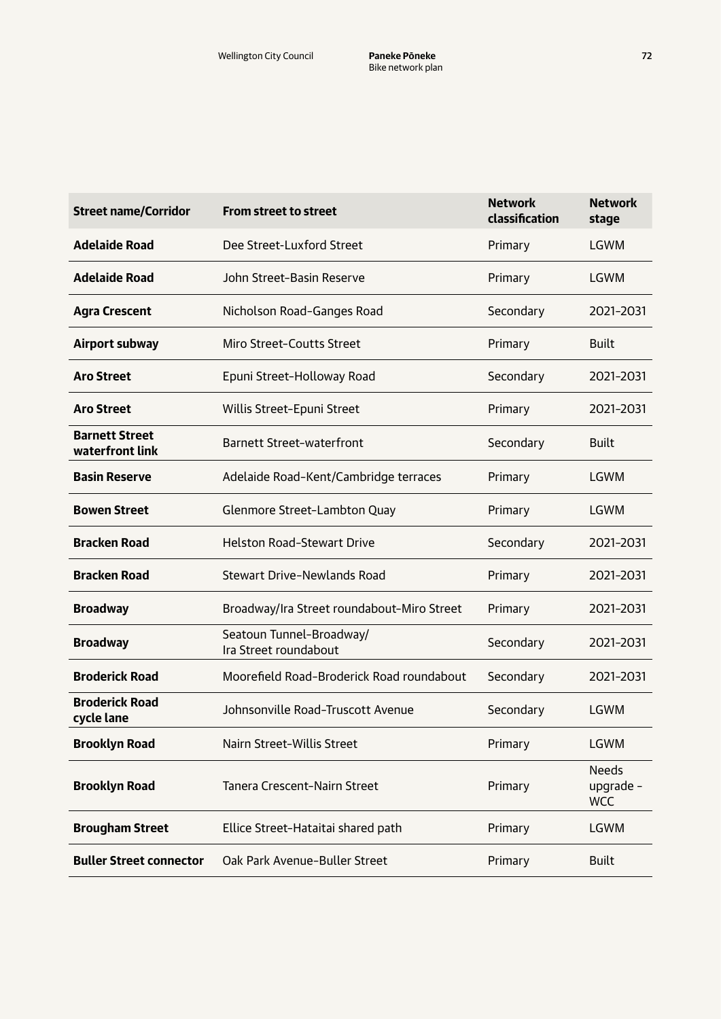| <b>Street name/Corridor</b>              | <b>From street to street</b>                      | <b>Network</b><br>classification | <b>Network</b><br>stage                 |
|------------------------------------------|---------------------------------------------------|----------------------------------|-----------------------------------------|
| <b>Adelaide Road</b>                     | Dee Street-Luxford Street                         | Primary                          | LGWM                                    |
| <b>Adelaide Road</b>                     | John Street-Basin Reserve                         | Primary                          | LGWM                                    |
| <b>Agra Crescent</b>                     | Nicholson Road-Ganges Road                        | Secondary                        | 2021-2031                               |
| Airport subway                           | Miro Street-Coutts Street                         | Primary                          | <b>Built</b>                            |
| <b>Aro Street</b>                        | Epuni Street-Holloway Road                        | Secondary                        | 2021-2031                               |
| <b>Aro Street</b>                        | Willis Street-Epuni Street                        | Primary                          | 2021-2031                               |
| <b>Barnett Street</b><br>waterfront link | <b>Barnett Street-waterfront</b>                  | Secondary                        | <b>Built</b>                            |
| <b>Basin Reserve</b>                     | Adelaide Road-Kent/Cambridge terraces             | Primary                          | LGWM                                    |
| <b>Bowen Street</b>                      | Glenmore Street-Lambton Quay                      | Primary                          | LGWM                                    |
| <b>Bracken Road</b>                      | <b>Helston Road-Stewart Drive</b>                 | Secondary                        | 2021-2031                               |
| <b>Bracken Road</b>                      | <b>Stewart Drive-Newlands Road</b>                | Primary                          | 2021-2031                               |
| <b>Broadway</b>                          | Broadway/Ira Street roundabout-Miro Street        | Primary                          | 2021-2031                               |
| <b>Broadway</b>                          | Seatoun Tunnel-Broadway/<br>Ira Street roundabout | Secondary                        | 2021-2031                               |
| <b>Broderick Road</b>                    | Moorefield Road-Broderick Road roundabout         | Secondary                        | 2021-2031                               |
| <b>Broderick Road</b><br>cycle lane      | Johnsonville Road-Truscott Avenue                 | Secondary                        | LGWM                                    |
| <b>Brooklyn Road</b>                     | Nairn Street-Willis Street                        | Primary                          | <b>LGWM</b>                             |
| <b>Brooklyn Road</b>                     | <b>Tanera Crescent-Nairn Street</b>               | Primary                          | <b>Needs</b><br>upgrade -<br><b>WCC</b> |
| <b>Brougham Street</b>                   | Ellice Street-Hataitai shared path                | Primary                          | <b>LGWM</b>                             |
| <b>Buller Street connector</b>           | Oak Park Avenue-Buller Street                     | Primary                          | <b>Built</b>                            |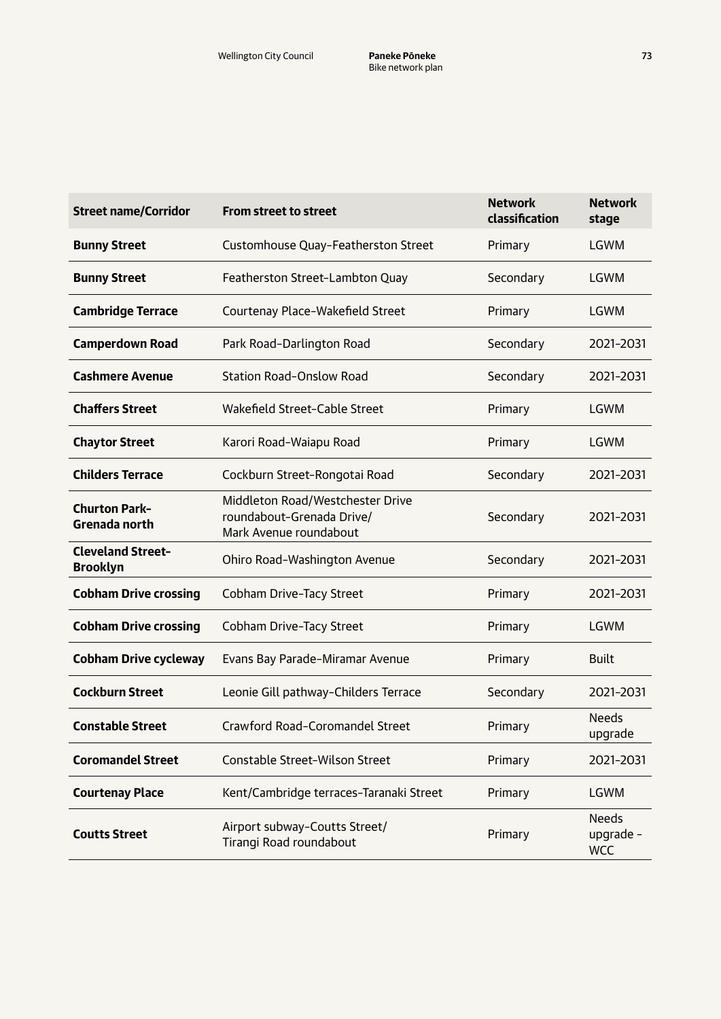| <b>Street name/Corridor</b>                  | <b>From street to street</b>                                                            | <b>Network</b><br>classification | <b>Network</b><br>stage                 |
|----------------------------------------------|-----------------------------------------------------------------------------------------|----------------------------------|-----------------------------------------|
| <b>Bunny Street</b>                          | Customhouse Quay-Featherston Street                                                     | Primary                          | LGWM                                    |
| <b>Bunny Street</b>                          | Featherston Street-Lambton Quay                                                         | Secondary                        | LGWM                                    |
| <b>Cambridge Terrace</b>                     | Courtenay Place-Wakefield Street                                                        | Primary                          | LGWM                                    |
| <b>Camperdown Road</b>                       | Park Road-Darlington Road                                                               | Secondary                        | 2021-2031                               |
| <b>Cashmere Avenue</b>                       | <b>Station Road-Onslow Road</b>                                                         | Secondary                        | 2021-2031                               |
| <b>Chaffers Street</b>                       | Wakefield Street-Cable Street                                                           | Primary                          | LGWM                                    |
| <b>Chaytor Street</b>                        | Karori Road-Waiapu Road                                                                 | Primary                          | <b>LGWM</b>                             |
| <b>Childers Terrace</b>                      | Cockburn Street-Rongotai Road                                                           | Secondary                        | 2021-2031                               |
| <b>Churton Park-</b><br><b>Grenada north</b> | Middleton Road/Westchester Drive<br>roundabout-Grenada Drive/<br>Mark Avenue roundabout | Secondary                        | 2021-2031                               |
| <b>Cleveland Street-</b><br><b>Brooklyn</b>  | Ohiro Road-Washington Avenue                                                            | Secondary                        | 2021-2031                               |
| <b>Cobham Drive crossing</b>                 | Cobham Drive-Tacy Street                                                                | Primary                          | 2021-2031                               |
| <b>Cobham Drive crossing</b>                 | Cobham Drive-Tacy Street                                                                | Primary                          | <b>LGWM</b>                             |
| <b>Cobham Drive cycleway</b>                 | Evans Bay Parade-Miramar Avenue                                                         | Primary                          | <b>Built</b>                            |
| <b>Cockburn Street</b>                       | Leonie Gill pathway-Childers Terrace                                                    | Secondary                        | 2021-2031                               |
| <b>Constable Street</b>                      | Crawford Road-Coromandel Street                                                         | Primary                          | <b>Needs</b><br>upgrade                 |
| <b>Coromandel Street</b>                     | Constable Street-Wilson Street                                                          | Primary                          | 2021-2031                               |
| <b>Courtenay Place</b>                       | Kent/Cambridge terraces-Taranaki Street                                                 | Primary                          | <b>LGWM</b>                             |
| <b>Coutts Street</b>                         | Airport subway-Coutts Street/<br>Tirangi Road roundabout                                | Primary                          | <b>Needs</b><br>upgrade -<br><b>WCC</b> |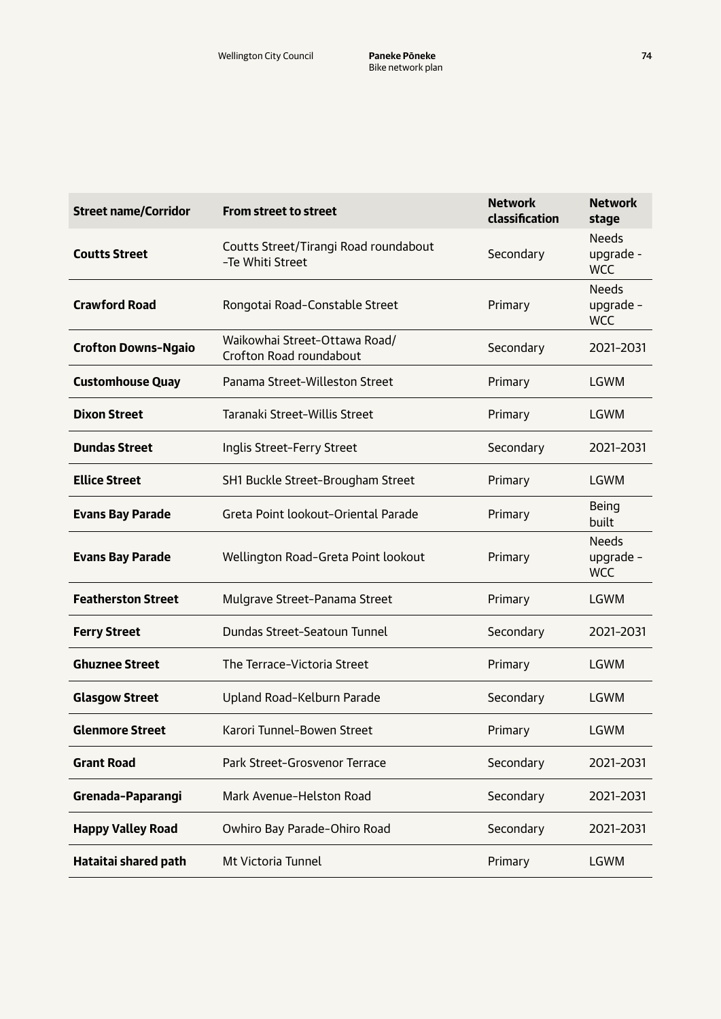| <b>Street name/Corridor</b> | <b>From street to street</b>                              | <b>Network</b><br>classification | <b>Network</b><br>stage                 |
|-----------------------------|-----------------------------------------------------------|----------------------------------|-----------------------------------------|
| <b>Coutts Street</b>        | Coutts Street/Tirangi Road roundabout<br>-Te Whiti Street | Secondary                        | <b>Needs</b><br>upgrade -<br><b>WCC</b> |
| <b>Crawford Road</b>        | Rongotai Road-Constable Street                            | Primary                          | <b>Needs</b><br>upgrade -<br><b>WCC</b> |
| <b>Crofton Downs-Ngaio</b>  | Waikowhai Street-Ottawa Road/<br>Crofton Road roundabout  | Secondary                        | 2021-2031                               |
| <b>Customhouse Quay</b>     | Panama Street-Willeston Street                            | Primary                          | <b>LGWM</b>                             |
| <b>Dixon Street</b>         | Taranaki Street-Willis Street                             | Primary                          | <b>LGWM</b>                             |
| <b>Dundas Street</b>        | Inglis Street-Ferry Street                                | Secondary                        | 2021-2031                               |
| <b>Ellice Street</b>        | SH1 Buckle Street-Brougham Street                         | Primary                          | <b>LGWM</b>                             |
| <b>Evans Bay Parade</b>     | Greta Point lookout-Oriental Parade                       | Primary                          | <b>Being</b><br>built                   |
| <b>Evans Bay Parade</b>     | Wellington Road-Greta Point lookout                       | Primary                          | <b>Needs</b><br>upgrade -<br><b>WCC</b> |
| <b>Featherston Street</b>   | Mulgrave Street-Panama Street                             | Primary                          | <b>LGWM</b>                             |
| <b>Ferry Street</b>         | Dundas Street-Seatoun Tunnel                              | Secondary                        | 2021-2031                               |
| <b>Ghuznee Street</b>       | The Terrace-Victoria Street                               | Primary                          | <b>LGWM</b>                             |
| <b>Glasgow Street</b>       | Upland Road-Kelburn Parade                                | Secondary                        | <b>LGWM</b>                             |
| <b>Glenmore Street</b>      | Karori Tunnel-Bowen Street                                | Primary                          | <b>LGWM</b>                             |
| <b>Grant Road</b>           | Park Street-Grosvenor Terrace                             | Secondary                        | 2021-2031                               |
| Grenada-Paparangi           | Mark Avenue-Helston Road                                  | Secondary                        | 2021-2031                               |
| <b>Happy Valley Road</b>    | Owhiro Bay Parade-Ohiro Road                              | Secondary                        | 2021-2031                               |
| Hataitai shared path        | Mt Victoria Tunnel                                        | Primary                          | <b>LGWM</b>                             |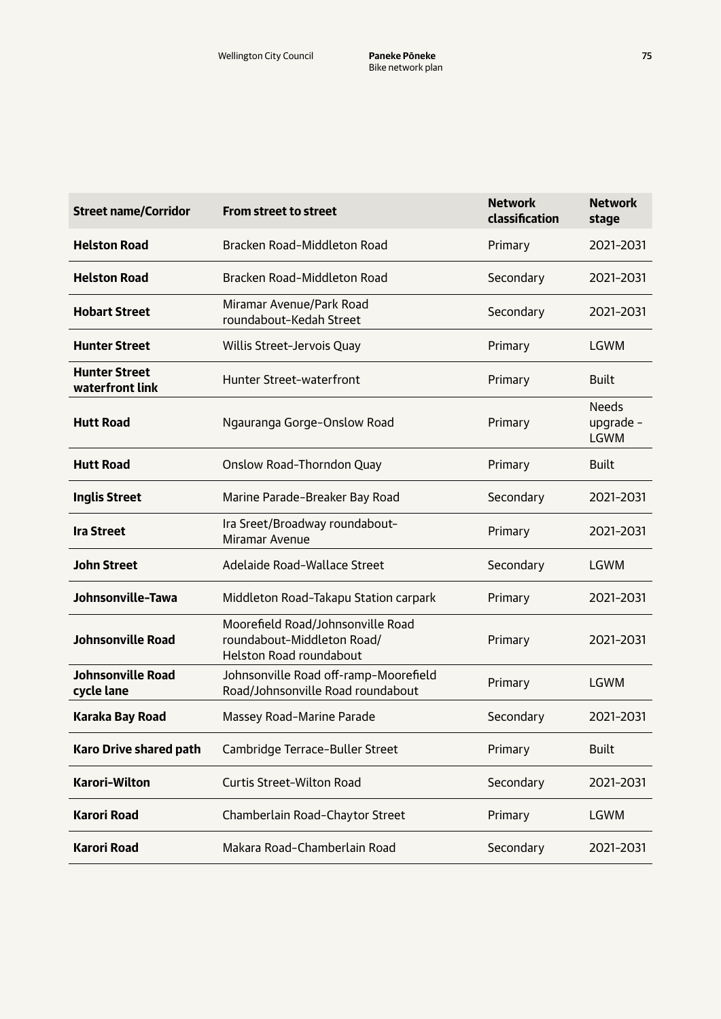| <b>Street name/Corridor</b>             | <b>From street to street</b>                                                                      | <b>Network</b><br>classification | <b>Network</b><br>stage                  |
|-----------------------------------------|---------------------------------------------------------------------------------------------------|----------------------------------|------------------------------------------|
| <b>Helston Road</b>                     | Bracken Road-Middleton Road                                                                       | Primary                          | 2021-2031                                |
| <b>Helston Road</b>                     | Bracken Road-Middleton Road                                                                       | Secondary                        | 2021-2031                                |
| <b>Hobart Street</b>                    | Miramar Avenue/Park Road<br>roundabout-Kedah Street                                               | Secondary                        | 2021-2031                                |
| <b>Hunter Street</b>                    | Willis Street-Jervois Quay                                                                        | Primary                          | LGWM                                     |
| <b>Hunter Street</b><br>waterfront link | <b>Hunter Street-waterfront</b>                                                                   | Primary                          | <b>Built</b>                             |
| <b>Hutt Road</b>                        | Ngauranga Gorge-Onslow Road                                                                       | Primary                          | <b>Needs</b><br>upgrade -<br><b>LGWM</b> |
| <b>Hutt Road</b>                        | Onslow Road-Thorndon Quay                                                                         | Primary                          | <b>Built</b>                             |
| <b>Inglis Street</b>                    | Marine Parade-Breaker Bay Road                                                                    | Secondary                        | 2021-2031                                |
| <b>Ira Street</b>                       | Ira Sreet/Broadway roundabout-<br>Miramar Avenue                                                  | Primary                          | 2021-2031                                |
| <b>John Street</b>                      | Adelaide Road-Wallace Street                                                                      | Secondary                        | <b>LGWM</b>                              |
| Johnsonville-Tawa                       | Middleton Road-Takapu Station carpark                                                             | Primary                          | 2021-2031                                |
| <b>Johnsonville Road</b>                | Moorefield Road/Johnsonville Road<br>roundabout-Middleton Road/<br><b>Helston Road roundabout</b> | Primary                          | 2021-2031                                |
| <b>Johnsonville Road</b><br>cycle lane  | Johnsonville Road off-ramp-Moorefield<br>Road/Johnsonville Road roundabout                        | Primary                          | <b>LGWM</b>                              |
| Karaka Bay Road                         | Massey Road-Marine Parade                                                                         | Secondary                        | 2021-2031                                |
| <b>Karo Drive shared path</b>           | Cambridge Terrace-Buller Street                                                                   | Primary                          | <b>Built</b>                             |
| <b>Karori-Wilton</b>                    | <b>Curtis Street-Wilton Road</b>                                                                  | Secondary                        | 2021-2031                                |
| <b>Karori Road</b>                      | Chamberlain Road-Chaytor Street                                                                   | Primary                          | <b>LGWM</b>                              |
| <b>Karori Road</b>                      | Makara Road-Chamberlain Road                                                                      | Secondary                        | 2021-2031                                |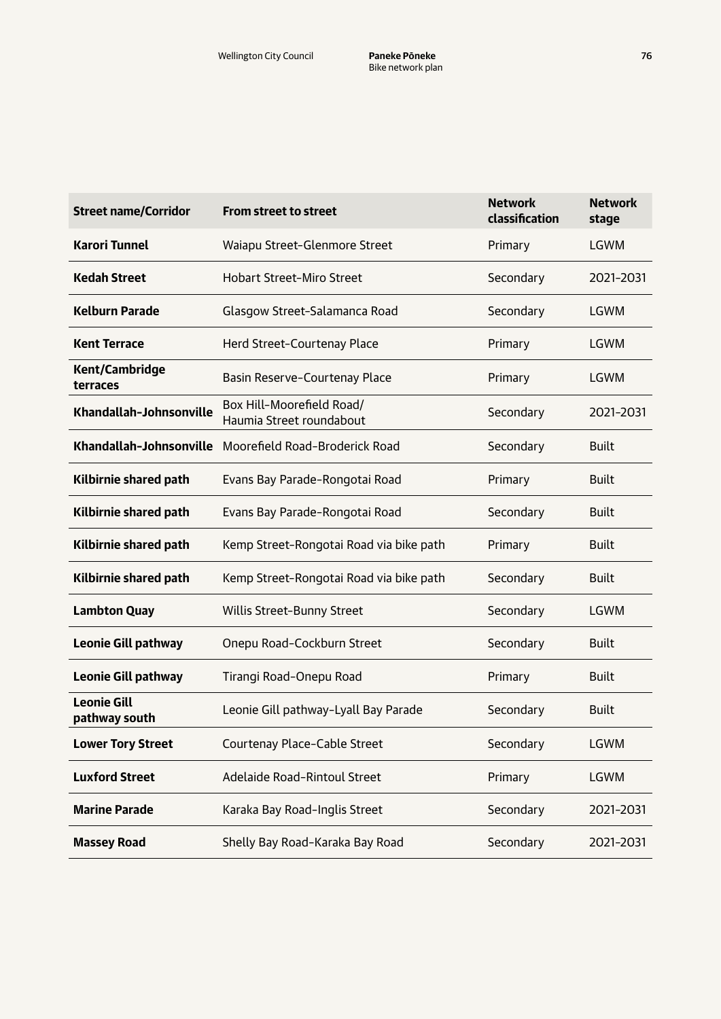| <b>Street name/Corridor</b>         | <b>From street to street</b>                          | <b>Network</b><br>classification | <b>Network</b><br>stage |
|-------------------------------------|-------------------------------------------------------|----------------------------------|-------------------------|
| <b>Karori Tunnel</b>                | Waiapu Street-Glenmore Street                         | Primary                          | LGWM                    |
| <b>Kedah Street</b>                 | <b>Hobart Street-Miro Street</b>                      | Secondary                        | 2021-2031               |
| <b>Kelburn Parade</b>               | Glasgow Street-Salamanca Road                         | Secondary                        | <b>LGWM</b>             |
| <b>Kent Terrace</b>                 | Herd Street-Courtenay Place                           | Primary                          | <b>LGWM</b>             |
| <b>Kent/Cambridge</b><br>terraces   | Basin Reserve-Courtenay Place                         | Primary                          | <b>LGWM</b>             |
| Khandallah-Johnsonville             | Box Hill-Moorefield Road/<br>Haumia Street roundabout | Secondary                        | 2021-2031               |
| Khandallah-Johnsonville             | Moorefield Road-Broderick Road                        | Secondary                        | <b>Built</b>            |
| Kilbirnie shared path               | Evans Bay Parade-Rongotai Road                        | Primary                          | <b>Built</b>            |
| Kilbirnie shared path               | Evans Bay Parade-Rongotai Road                        | Secondary                        | <b>Built</b>            |
| Kilbirnie shared path               | Kemp Street-Rongotai Road via bike path               | Primary                          | <b>Built</b>            |
| Kilbirnie shared path               | Kemp Street-Rongotai Road via bike path               | Secondary                        | <b>Built</b>            |
| <b>Lambton Quay</b>                 | Willis Street-Bunny Street                            | Secondary                        | LGWM                    |
| <b>Leonie Gill pathway</b>          | Onepu Road-Cockburn Street                            | Secondary                        | <b>Built</b>            |
| <b>Leonie Gill pathway</b>          | Tirangi Road-Onepu Road                               | Primary                          | <b>Built</b>            |
| <b>Leonie Gill</b><br>pathway south | Leonie Gill pathway-Lyall Bay Parade                  | Secondary                        | <b>Built</b>            |
| <b>Lower Tory Street</b>            | Courtenay Place-Cable Street                          | Secondary                        | LGWM                    |
| <b>Luxford Street</b>               | Adelaide Road-Rintoul Street                          | Primary                          | LGWM                    |
| <b>Marine Parade</b>                | Karaka Bay Road-Inglis Street                         | Secondary                        | 2021-2031               |
| <b>Massey Road</b>                  | Shelly Bay Road-Karaka Bay Road                       | Secondary                        | 2021-2031               |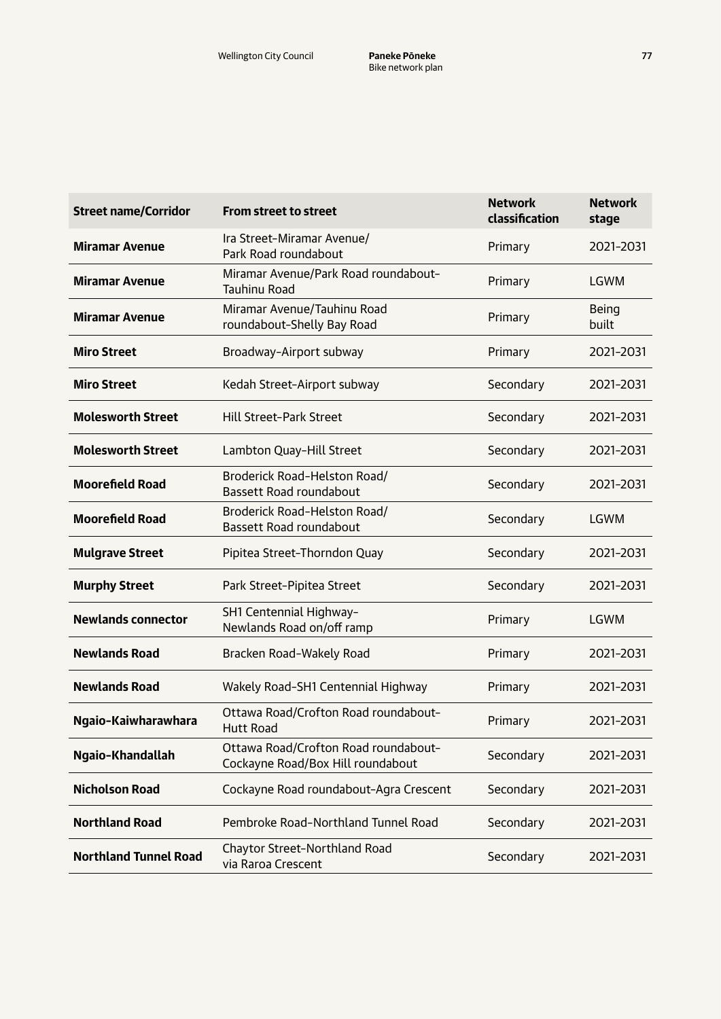| <b>Street name/Corridor</b>  | <b>From street to street</b>                                              | <b>Network</b><br>classification | <b>Network</b><br>stage |
|------------------------------|---------------------------------------------------------------------------|----------------------------------|-------------------------|
| <b>Miramar Avenue</b>        | Ira Street-Miramar Avenue/<br>Park Road roundabout                        | Primary                          | 2021-2031               |
| <b>Miramar Avenue</b>        | Miramar Avenue/Park Road roundabout-<br><b>Tauhinu Road</b>               | Primary                          | <b>LGWM</b>             |
| <b>Miramar Avenue</b>        | Miramar Avenue/Tauhinu Road<br>roundabout-Shelly Bay Road                 | Primary                          | Being<br>built          |
| <b>Miro Street</b>           | Broadway-Airport subway                                                   | Primary                          | 2021-2031               |
| <b>Miro Street</b>           | Kedah Street-Airport subway                                               | Secondary                        | 2021-2031               |
| <b>Molesworth Street</b>     | <b>Hill Street-Park Street</b>                                            | Secondary                        | 2021-2031               |
| <b>Molesworth Street</b>     | Lambton Quay-Hill Street                                                  | Secondary                        | 2021-2031               |
| <b>Moorefield Road</b>       | Broderick Road-Helston Road/<br><b>Bassett Road roundabout</b>            | Secondary                        | 2021-2031               |
| <b>Moorefield Road</b>       | Broderick Road-Helston Road/<br>Bassett Road roundabout                   | Secondary                        | <b>LGWM</b>             |
| <b>Mulgrave Street</b>       | Pipitea Street-Thorndon Quay                                              | Secondary                        | 2021-2031               |
| <b>Murphy Street</b>         | Park Street-Pipitea Street                                                | Secondary                        | 2021-2031               |
| <b>Newlands connector</b>    | SH1 Centennial Highway-<br>Newlands Road on/off ramp                      | Primary                          | <b>LGWM</b>             |
| <b>Newlands Road</b>         | Bracken Road-Wakely Road                                                  | Primary                          | 2021-2031               |
| <b>Newlands Road</b>         | Wakely Road-SH1 Centennial Highway                                        | Primary                          | 2021-2031               |
| Ngaio-Kaiwharawhara          | Ottawa Road/Crofton Road roundabout-<br><b>Hutt Road</b>                  | Primary                          | 2021-2031               |
| Ngaio-Khandallah             | Ottawa Road/Crofton Road roundabout-<br>Cockayne Road/Box Hill roundabout | Secondary                        | 2021-2031               |
| <b>Nicholson Road</b>        | Cockayne Road roundabout-Agra Crescent                                    | Secondary                        | 2021-2031               |
| <b>Northland Road</b>        | Pembroke Road-Northland Tunnel Road                                       | Secondary                        | 2021-2031               |
| <b>Northland Tunnel Road</b> | Chaytor Street-Northland Road<br>via Raroa Crescent                       | Secondary                        | 2021-2031               |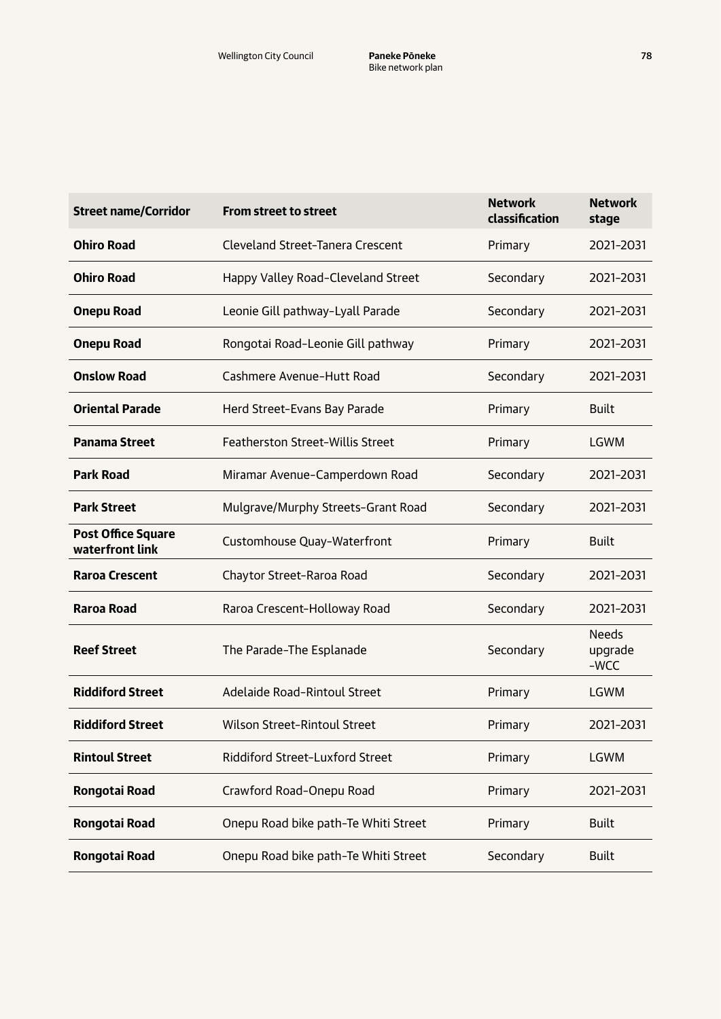| <b>Street name/Corridor</b>                  | <b>From street to street</b>            | <b>Network</b><br>classification | <b>Network</b><br>stage           |
|----------------------------------------------|-----------------------------------------|----------------------------------|-----------------------------------|
| <b>Ohiro Road</b>                            | <b>Cleveland Street-Tanera Crescent</b> | Primary                          | 2021-2031                         |
| <b>Ohiro Road</b>                            | Happy Valley Road-Cleveland Street      | Secondary                        | 2021-2031                         |
| <b>Onepu Road</b>                            | Leonie Gill pathway-Lyall Parade        | Secondary                        | 2021-2031                         |
| <b>Onepu Road</b>                            | Rongotai Road-Leonie Gill pathway       | Primary                          | 2021-2031                         |
| <b>Onslow Road</b>                           | Cashmere Avenue-Hutt Road               | Secondary                        | 2021-2031                         |
| <b>Oriental Parade</b>                       | Herd Street-Evans Bay Parade            | Primary                          | <b>Built</b>                      |
| <b>Panama Street</b>                         | <b>Featherston Street-Willis Street</b> | Primary                          | <b>LGWM</b>                       |
| <b>Park Road</b>                             | Miramar Avenue-Camperdown Road          | Secondary                        | 2021-2031                         |
| <b>Park Street</b>                           | Mulgrave/Murphy Streets-Grant Road      | Secondary                        | 2021-2031                         |
| <b>Post Office Square</b><br>waterfront link | Customhouse Quay-Waterfront             | Primary                          | <b>Built</b>                      |
| <b>Raroa Crescent</b>                        | Chaytor Street-Raroa Road               | Secondary                        | 2021-2031                         |
| <b>Raroa Road</b>                            | Raroa Crescent-Holloway Road            | Secondary                        | 2021-2031                         |
| <b>Reef Street</b>                           | The Parade-The Esplanade                | Secondary                        | <b>Needs</b><br>upgrade<br>$-WCC$ |
| <b>Riddiford Street</b>                      | Adelaide Road-Rintoul Street            | Primary                          | <b>LGWM</b>                       |
| <b>Riddiford Street</b>                      | <b>Wilson Street-Rintoul Street</b>     | Primary                          | 2021-2031                         |
| <b>Rintoul Street</b>                        | Riddiford Street-Luxford Street         | Primary                          | LGWM                              |
| <b>Rongotai Road</b>                         | Crawford Road-Onepu Road                | Primary                          | 2021-2031                         |
| Rongotai Road                                | Onepu Road bike path-Te Whiti Street    | Primary                          | <b>Built</b>                      |
| Rongotai Road                                | Onepu Road bike path-Te Whiti Street    | Secondary                        | <b>Built</b>                      |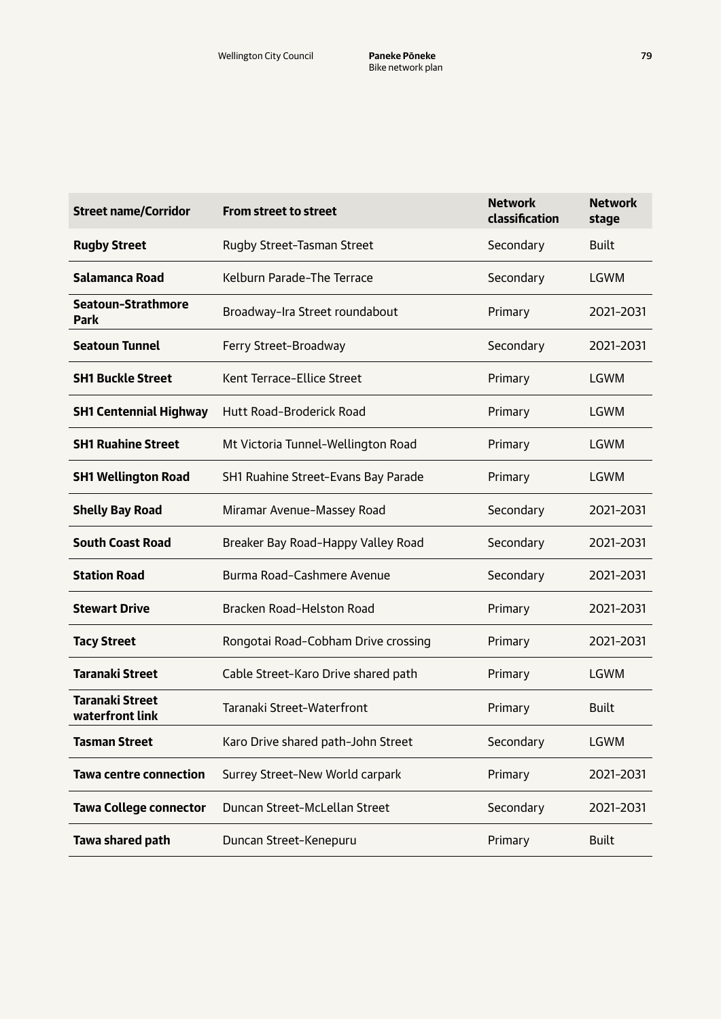| <b>Street name/Corridor</b>               | <b>From street to street</b>        | <b>Network</b><br>classification | <b>Network</b><br>stage |
|-------------------------------------------|-------------------------------------|----------------------------------|-------------------------|
| <b>Rugby Street</b>                       | Rugby Street-Tasman Street          | Secondary                        | <b>Built</b>            |
| Salamanca Road                            | Kelburn Parade-The Terrace          | Secondary                        | <b>LGWM</b>             |
| Seatoun-Strathmore<br><b>Park</b>         | Broadway-Ira Street roundabout      | Primary                          | 2021-2031               |
| <b>Seatoun Tunnel</b>                     | Ferry Street-Broadway               | Secondary                        | 2021-2031               |
| <b>SH1 Buckle Street</b>                  | Kent Terrace-Ellice Street          | Primary                          | LGWM                    |
| <b>SH1 Centennial Highway</b>             | Hutt Road-Broderick Road            | Primary                          | LGWM                    |
| <b>SH1 Ruahine Street</b>                 | Mt Victoria Tunnel-Wellington Road  | Primary                          | LGWM                    |
| <b>SH1 Wellington Road</b>                | SH1 Ruahine Street-Evans Bay Parade | Primary                          | LGWM                    |
| <b>Shelly Bay Road</b>                    | Miramar Avenue-Massey Road          | Secondary                        | 2021-2031               |
| <b>South Coast Road</b>                   | Breaker Bay Road-Happy Valley Road  | Secondary                        | 2021-2031               |
| <b>Station Road</b>                       | Burma Road-Cashmere Avenue          | Secondary                        | 2021-2031               |
| <b>Stewart Drive</b>                      | Bracken Road-Helston Road           | Primary                          | 2021-2031               |
| <b>Tacy Street</b>                        | Rongotai Road-Cobham Drive crossing | Primary                          | 2021-2031               |
| <b>Taranaki Street</b>                    | Cable Street-Karo Drive shared path | Primary                          | LGWM                    |
| <b>Taranaki Street</b><br>waterfront link | Taranaki Street-Waterfront          | Primary                          | <b>Built</b>            |
| <b>Tasman Street</b>                      | Karo Drive shared path-John Street  | Secondary                        | LGWM                    |
| <b>Tawa centre connection</b>             | Surrey Street-New World carpark     | Primary                          | 2021-2031               |
| <b>Tawa College connector</b>             | Duncan Street-McLellan Street       | Secondary                        | 2021-2031               |
| Tawa shared path                          | Duncan Street-Kenepuru              | Primary                          | <b>Built</b>            |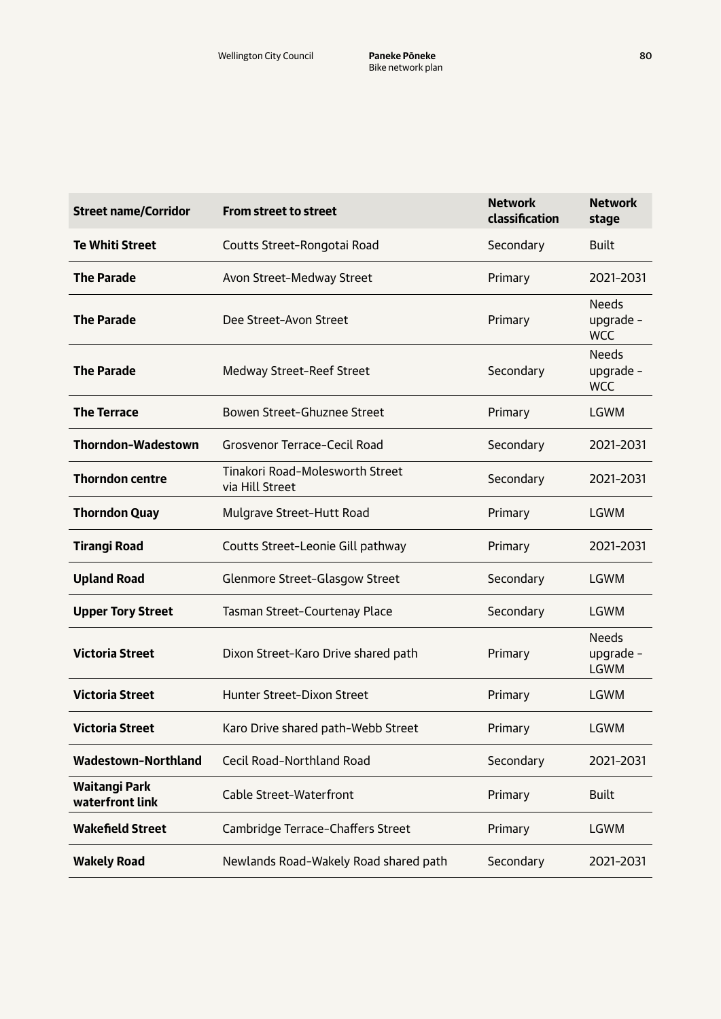| <b>Street name/Corridor</b>      | <b>From street to street</b>                       | <b>Network</b><br>classification | <b>Network</b><br>stage                  |
|----------------------------------|----------------------------------------------------|----------------------------------|------------------------------------------|
| <b>Te Whiti Street</b>           | Coutts Street-Rongotai Road                        | Secondary                        | <b>Built</b>                             |
| <b>The Parade</b>                | Avon Street-Medway Street                          | Primary                          | 2021-2031                                |
| <b>The Parade</b>                | Dee Street-Avon Street                             | Primary                          | <b>Needs</b><br>upgrade -<br><b>WCC</b>  |
| <b>The Parade</b>                | Medway Street-Reef Street                          | Secondary                        | <b>Needs</b><br>upgrade -<br><b>WCC</b>  |
| <b>The Terrace</b>               | Bowen Street-Ghuznee Street                        | Primary                          | <b>LGWM</b>                              |
| <b>Thorndon-Wadestown</b>        | Grosvenor Terrace-Cecil Road                       | Secondary                        | 2021-2031                                |
| <b>Thorndon centre</b>           | Tinakori Road-Molesworth Street<br>via Hill Street | Secondary                        | 2021-2031                                |
| <b>Thorndon Quay</b>             | Mulgrave Street-Hutt Road                          | Primary                          | <b>LGWM</b>                              |
| <b>Tirangi Road</b>              | Coutts Street-Leonie Gill pathway                  | Primary                          | 2021-2031                                |
| <b>Upland Road</b>               | Glenmore Street-Glasgow Street                     | Secondary                        | <b>LGWM</b>                              |
| <b>Upper Tory Street</b>         | Tasman Street-Courtenay Place                      | Secondary                        | LGWM                                     |
| <b>Victoria Street</b>           | Dixon Street-Karo Drive shared path                | Primary                          | <b>Needs</b><br>upgrade -<br><b>LGWM</b> |
| <b>Victoria Street</b>           | Hunter Street-Dixon Street                         | Primary                          | <b>LGWM</b>                              |
| <b>Victoria Street</b>           | Karo Drive shared path-Webb Street                 | Primary                          | <b>LGWM</b>                              |
| <b>Wadestown-Northland</b>       | Cecil Road-Northland Road                          | Secondary                        | 2021-2031                                |
| Waitangi Park<br>waterfront link | Cable Street-Waterfront                            | Primary                          | <b>Built</b>                             |
| <b>Wakefield Street</b>          | Cambridge Terrace-Chaffers Street                  | Primary                          | LGWM                                     |
| <b>Wakely Road</b>               | Newlands Road-Wakely Road shared path              | Secondary                        | 2021-2031                                |